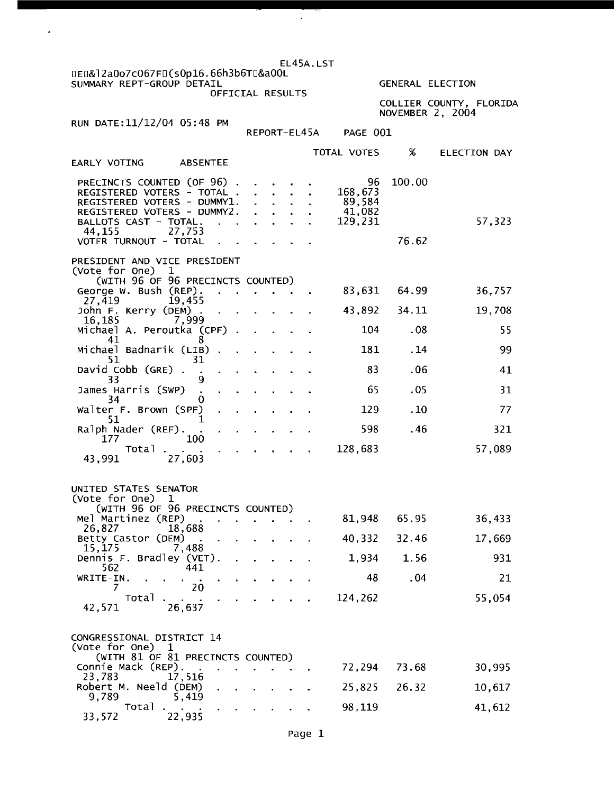EL45A. LST o~o&12aOo7c067~U(sOp16.66h3b6TU&a00L

SUMMARY REPT-GROUP DETAIL OFFICIAL RESULTS

 $\mathcal{L}^{\mathcal{A}}$ 

GENERAL ELECTION

COLLIER COUNTY, FLORIDA NOVEMBER 2, 2004

RUN DATE: 11/12/04 05 :48 PM

 $\overline{a}$ 

43,991 27,605

|                                                                                                                                                                                                              | REPORT-EL45A |  | PAGE 001 |                                              |                 |                     |
|--------------------------------------------------------------------------------------------------------------------------------------------------------------------------------------------------------------|--------------|--|----------|----------------------------------------------|-----------------|---------------------|
| <b>EARLY VOTING</b><br><b>ABSENTEE</b>                                                                                                                                                                       |              |  |          | TOTAL VOTES                                  | %               | <b>ELECTION DAY</b> |
| PRECINCTS COUNTED (OF 96).<br>REGISTERED VOTERS - TOTAL.<br>REGISTERED VOTERS - DUMMY1.<br>REGISTERED VOTERS - DUMMY2.<br>BALLOTS CAST - TOTAL.<br>$\mathbf{r}$<br>27,753<br>44,155<br>VOTER TURNOUT - TOTAL |              |  |          | 96<br>168,673<br>89,584<br>41,082<br>129,231 | 100.00<br>76.62 | 57,323              |
| PRESIDENT AND VICE PRESIDENT<br>(Vote for One)<br>1<br>(WITH 96 OF 96 PRECINCTS COUNTED)<br>George W. Bush (REP).<br>$\ddot{\phantom{a}}$                                                                    |              |  |          | 83,631                                       | 64.99           | 36,757              |
| 27,419<br>19,455<br>John F. Kerry (DEM) .<br>$\mathcal{L}^{\text{max}}_{\text{max}}$ . The $\mathcal{L}^{\text{max}}_{\text{max}}$                                                                           |              |  |          | 43,892                                       | 34.11           | 19,708              |
| 16,185<br>7.999<br>Michael A. Peroutka (CPF) .<br>8<br>41                                                                                                                                                    | $\mathbf{r}$ |  |          | 104                                          | .08             | 55                  |
| Michael Badnarik (LIB).<br>ä,<br>51<br>31                                                                                                                                                                    |              |  |          | 181                                          | .14             | 99                  |
| David Cobb (GRE).<br>33                                                                                                                                                                                      |              |  |          | 83                                           | .06             | 41                  |
| James Harris (SWP)<br>34                                                                                                                                                                                     |              |  |          | 65                                           | .05             | 31                  |
| Walter F. Brown (SPF)<br>51                                                                                                                                                                                  |              |  |          | 129                                          | .10             | 77                  |
| Ralph Nader (REF).<br>177<br>100                                                                                                                                                                             |              |  |          | 598                                          | .46             | 321                 |
| Total<br>12.001<br>- ד<br>co d                                                                                                                                                                               |              |  |          | 128,683                                      |                 | 57,089              |

| UNITED STATES SENATOR<br>(Vote for One) 1<br>(WITH 96 OF 96 PRECINCTS COUNTED) |                                                                                                                                                                                                                                |                                                                                                                                                                                                                                |        |                                   |  |         |       |        |
|--------------------------------------------------------------------------------|--------------------------------------------------------------------------------------------------------------------------------------------------------------------------------------------------------------------------------|--------------------------------------------------------------------------------------------------------------------------------------------------------------------------------------------------------------------------------|--------|-----------------------------------|--|---------|-------|--------|
| Mel Martinez (REP)                                                             | and the second control of the second control of the second control of the second control of the second control of the second control of the second control of the second control of the second control of the second control o |                                                                                                                                                                                                                                |        |                                   |  | 81,948  | 65.95 | 36,433 |
| 26,827<br>Betty Castor (DEM)                                                   | 18,688                                                                                                                                                                                                                         | <b>Contract Contract</b>                                                                                                                                                                                                       |        | and the state of the state of the |  | 40,332  | 32.46 | 17,669 |
| 15,175<br>Dennis F. Bradley (VET).                                             | 7.488                                                                                                                                                                                                                          | $\sim 10$                                                                                                                                                                                                                      |        | and the state of the state of the |  | 1,934   | 1.56  | 931    |
| 562<br>WRITE-IN.<br><b>Contract State</b>                                      | 441<br><b>Contract Contract Service</b>                                                                                                                                                                                        | $\sim$                                                                                                                                                                                                                         | $\sim$ | and the contract of the contract  |  | 48      | . 04  | 21     |
|                                                                                | 20                                                                                                                                                                                                                             |                                                                                                                                                                                                                                |        |                                   |  |         |       |        |
| Total<br>42,571                                                                | 26,637                                                                                                                                                                                                                         | and the contract of the contract of the contract of the contract of the contract of the contract of the contract of the contract of the contract of the contract of the contract of the contract of the contract of the contra |        |                                   |  | 124,262 |       | 55,054 |

| CONGRESSIONAL DISTRICT 14                    |                        |
|----------------------------------------------|------------------------|
| (Vote for One) 1                             |                        |
| (WITH 81 OF 81 PRECINCTS COUNTED)            |                        |
| Connie Mack (REP).                           | 30,995<br>72.294 73.68 |
| 23,783 17,516                                |                        |
| Robert M. Neeld (DEM) 25,825 26.32           | 10,617                 |
| 5.419<br>9.789                               |                        |
| Total<br>the contract of the contract of the | 98.119<br>41,612       |
| 33,572<br>22.935                             |                        |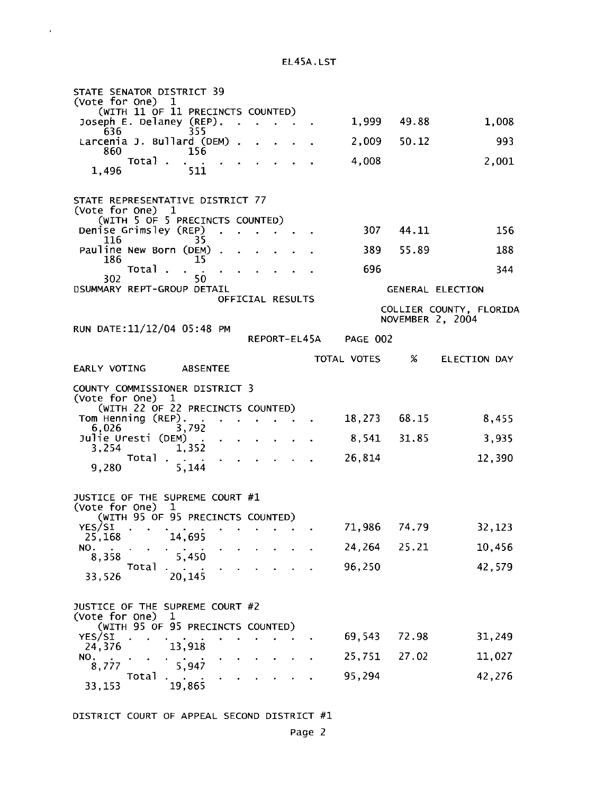EL45A.LST

 $\ddot{\phantom{0}}$ 

| STATE SENATOR DISTRICT 39                                                               |                  |                         |
|-----------------------------------------------------------------------------------------|------------------|-------------------------|
| (Vote for One)<br>ı<br>(WITH 11 OF 11 PRECINCTS COUNTED)                                |                  |                         |
| Joseph E. Delaney (REP).<br>636<br>355                                                  | 1,999<br>49.88   | 1,008                   |
| Larcenia J. Bullard (DEM) .<br>860<br>156                                               | 2,009<br>50.12   | 993                     |
| Total                                                                                   | 4,008            | 2,001                   |
| 1,496<br>511                                                                            |                  |                         |
| STATE REPRESENTATIVE DISTRICT 77<br>(Vote for One) 1<br>(WITH 5 OF 5 PRECINCTS COUNTED) |                  |                         |
| Denise Grimsley (REP)                                                                   | 307 44.11        | 156                     |
| 35<br>116<br>Pauline New Born (DEM)                                                     | 55.89<br>389     | 188                     |
| 186<br>15<br>Total                                                                      | 696              | 344                     |
| 302<br>50.<br>DSUMMARY REPT-GROUP DETAIL                                                |                  | GENERAL ELECTION        |
| OFFICIAL RESULTS                                                                        |                  | COLLIER COUNTY, FLORIDA |
| RUN DATE: 11/12/04 05:48 PM                                                             | NOVEMBER 2, 2004 |                         |
| REPORT-EL45A                                                                            | <b>PAGE 002</b>  |                         |
| EARLY VOTING ABSENTEE                                                                   | %<br>TOTAL VOTES | <b>ELECTION DAY</b>     |
| COUNTY COMMISSIONER DISTRICT 3                                                          |                  |                         |
| (Vote for One) 1<br>(WITH 22 OF 22 PRECINCTS COUNTED)                                   |                  |                         |
| Tom Henning (REP).<br>6,026<br>3,792                                                    | 18,273 68.15     | 8,455                   |
| Julie Uresti (DEM)<br>1,352<br>3.254                                                    | 31.85<br>8,541   | 3,935                   |
| Total<br>$\bullet$                                                                      | 26,814           | 12,390                  |
| 5,144<br>9,280                                                                          |                  |                         |
| JUSTICE OF THE SUPREME COURT #1                                                         |                  |                         |
| (Vote for One)<br>$\mathbf{1}$<br>(WITH 95 OF 95 PRECINCTS COUNTED)                     |                  |                         |
| YES/SI<br>25,168<br>14,695                                                              | 71,986 74.79     | 32,123                  |
| NO.<br>5,450                                                                            | 24,264<br>25.21  | 10,456                  |
| 8,358<br>Total                                                                          | 96,250           | 42,579                  |
| 20,145<br>33,526                                                                        |                  |                         |
| JUSTICE OF THE SUPREME COURT #2<br>(Vote for One)<br>T                                  |                  |                         |
| (WITH 95 OF 95 PRECINCTS COUNTED)<br>YES/SI                                             | 69,543<br>72.98  | 31,249                  |
| 13,918<br>24,376<br>NO.                                                                 | 27.02<br>25,751  | 11,027                  |
| 5,947<br>8,777<br>Total                                                                 | 95,294           | 42,276                  |
| 19,865<br>33,153                                                                        |                  |                         |

DISTRICT COURT OF APPEAL SECOND DISTRICT #1

Page 2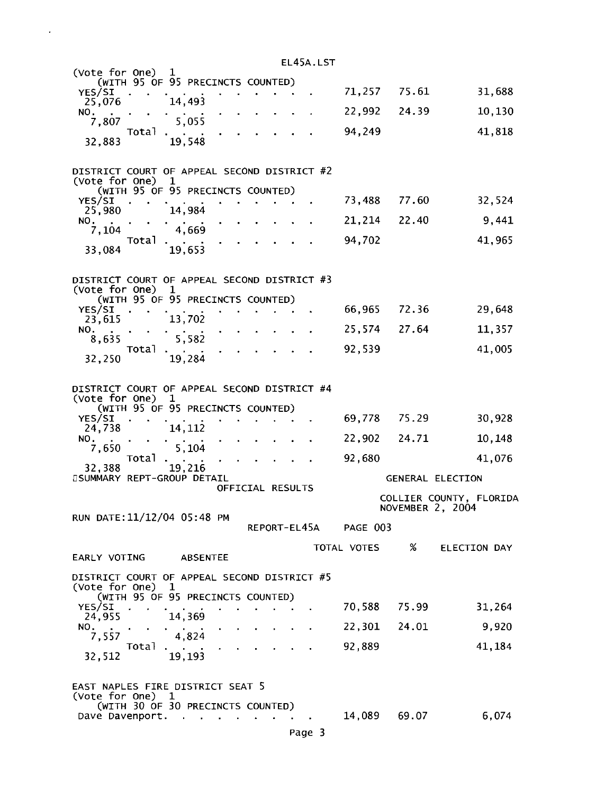| EL45A.LST                                                                                                         |              |                  |                         |
|-------------------------------------------------------------------------------------------------------------------|--------------|------------------|-------------------------|
| (Vote for One) $1$<br>(WITH 95 OF 95 PRECINCTS COUNTED)                                                           |              |                  |                         |
| YES/SI<br>14,493<br>25,076                                                                                        | 71,257 75.61 |                  | 31,688                  |
| NO.                                                                                                               | 22,992       | 24.39            | 10,130                  |
| 5,055<br>7,807<br>Total                                                                                           | 94,249       |                  | 41,818                  |
| 19,548<br>32,883                                                                                                  |              |                  |                         |
| DISTRICT COURT OF APPEAL SECOND DISTRICT #2<br>(Vote for One)<br>1                                                |              |                  |                         |
| (WITH 95 OF 95 PRECINCTS COUNTED)<br>YES/SI                                                                       | 73,488       | 77.60            | 32,524                  |
| 14,984<br>25,980<br>NO.                                                                                           | 21,214       | 22.40            | 9,441                   |
| 4,669<br>7,104                                                                                                    | 94,702       |                  | 41,965                  |
| Total<br>19,653<br>33,084                                                                                         |              |                  |                         |
| DISTRICT COURT OF APPEAL SECOND DISTRICT #3<br>(Vote for One)<br>1<br>(WITH 95 OF 95 PRECINCTS COUNTED)<br>YES/SI | 66,965       | 72.36            | 29,648                  |
| 13,702<br>23,615<br>NO.                                                                                           | 25,574       | 27.64            | 11,357                  |
| 5,582<br>8,635<br>Total                                                                                           | 92,539       |                  | 41,005                  |
| 19,284<br>32,250                                                                                                  |              |                  |                         |
| DISTRICT COURT OF APPEAL SECOND DISTRICT #4<br>(Vote for One)<br>ı<br>(WITH 95 OF 95 PRECINCTS COUNTED)           |              |                  |                         |
| YES/SI<br>24,738<br>14,112                                                                                        | 69,778       | 75.29            | 30,928                  |
| NO.<br>5,104<br>7,650                                                                                             | 22,902       | 24.71            | 10,148                  |
| Total                                                                                                             | 92,680       |                  | 41,076                  |
| 19,216<br>32,388<br><b><i>OSUMMARY REPT-GROUP DETAIL</i></b>                                                      |              | GENERAL ELECTION |                         |
| OFFICIAL RESULTS                                                                                                  |              | NOVEMBER 2, 2004 | COLLIER COUNTY, FLORIDA |
| RUN DATE: 11/12/04 05:48 PM<br>REPORT-EL45A                                                                       | PAGE 003     |                  |                         |
| EARLY VOTING<br><b>ABSENTEE</b>                                                                                   | TOTAL VOTES  | %                | <b>ELECTION DAY</b>     |
| DISTRICT COURT OF APPEAL SECOND DISTRICT #5                                                                       |              |                  |                         |
| (Vote for One)<br>-1<br>(WITH 95 OF 95 PRECINCTS COUNTED)                                                         |              |                  |                         |
| YES/SI<br>$\bullet$<br>14,369<br>24,955                                                                           | 70,588       | 75.99            | 31,264                  |
| NO.<br>4,824<br>7,557                                                                                             | 22,301       | 24.01            | 9,920                   |
| Total<br>19,193<br>32,512                                                                                         | 92,889       |                  | 41,184                  |
| EAST NAPLES FIRE DISTRICT SEAT 5<br>(Vote for One) 1<br>(WITH 30 OF 30 PRECINCTS COUNTED)                         |              |                  |                         |
| Dave Davenport.<br>×.                                                                                             | 14,089       | 69.07            | 6,074                   |

 $\bar{\beta}$ 

Page 3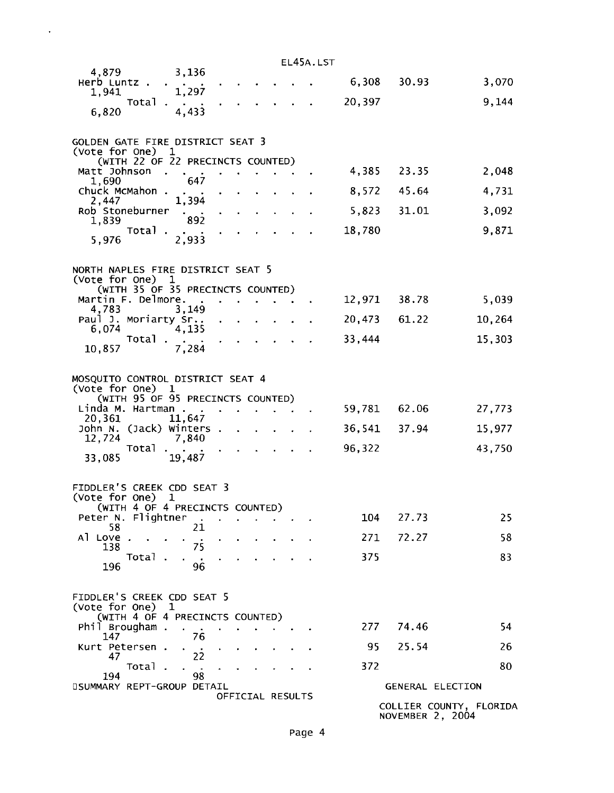|                                                         |                      |                  |  |  | EL45A.LST |        |                         |                         |
|---------------------------------------------------------|----------------------|------------------|--|--|-----------|--------|-------------------------|-------------------------|
| 4,879<br>Herb Luntz.                                    | 3,136                |                  |  |  |           |        | 6,308 30.93             | 3,070                   |
| 1,941<br>Total                                          | 1,297                |                  |  |  |           | 20,397 |                         | 9,144                   |
| 6,820                                                   | 4,433                |                  |  |  |           |        |                         |                         |
| GOLDEN GATE FIRE DISTRICT SEAT 3                        |                      |                  |  |  |           |        |                         |                         |
| (Vote for One) 1<br>(WITH 22 OF 22 PRECINCTS COUNTED)   |                      |                  |  |  |           |        |                         |                         |
| Matt Johnson<br>1,690                                   | 647                  |                  |  |  |           | 4,385  | 23.35                   | 2,048                   |
| Chuck McMahon.<br>2,447                                 | 1,394                |                  |  |  |           | 8,572  | 45.64                   | 4,731                   |
| Rob Stoneburner<br>1,839                                | 892                  |                  |  |  |           | 5,823  | 31.01                   | 3,092                   |
| Total<br>5,976                                          | 2,933                |                  |  |  |           | 18,780 |                         | 9,871                   |
| NORTH NAPLES FIRE DISTRICT SEAT 5                       |                      |                  |  |  |           |        |                         |                         |
| (Vote for One)                                          | $\mathbf{1}$         |                  |  |  |           |        |                         |                         |
| (WITH 35 OF 35 PRECINCTS COUNTED)<br>Martin F. Delmore. |                      |                  |  |  |           |        | 12,971 38.78            | 5,039                   |
| 4,783<br>Paul J. Moriarty Sr                            | 3,149                |                  |  |  |           |        | 20,473 61.22            | 10,264                  |
| 6,074<br>Total                                          | 4,135                |                  |  |  |           | 33,444 |                         | 15,303                  |
| 10,857                                                  | 7,284                |                  |  |  |           |        |                         |                         |
| MOSQUITO CONTROL DISTRICT SEAT 4<br>(Vote for One) 1    |                      |                  |  |  |           |        |                         |                         |
| (WITH 95 OF 95 PRECINCTS COUNTED)                       |                      |                  |  |  |           |        |                         |                         |
| Linda M. Hartman.<br>20,361                             | $\sim 100$<br>11,647 |                  |  |  |           | 59,781 | 62.06                   | 27,773                  |
| John N. (Jack) Winters.<br>12,724                       | 7,840                |                  |  |  |           |        | 36,541 37.94            | 15,977                  |
| Total<br>33,085                                         | 19,487               |                  |  |  |           | 96,322 |                         | 43,750                  |
|                                                         |                      |                  |  |  |           |        |                         |                         |
| FIDDLER'S CREEK CDD SEAT 3<br>(Vote for One)            | 1                    |                  |  |  |           |        |                         |                         |
| (WITH 4 OF 4 PRECINCTS COUNTED)<br>Peter N. Flightner   |                      |                  |  |  |           | 104    | 27.73                   | 25                      |
| 58                                                      | 21                   |                  |  |  |           |        |                         |                         |
| Al Love.<br>138                                         | 75                   |                  |  |  |           | 271    | 72.27                   | 58                      |
| Total.<br>196                                           | 96                   |                  |  |  |           | 375    |                         | 83                      |
| FIDDLER'S CREEK CDD SEAT 5                              |                      |                  |  |  |           |        |                         |                         |
| (Vote for One)<br>(WITH 4 OF 4 PRECINCTS COUNTED)       | ı                    |                  |  |  |           |        |                         |                         |
| Phil Brougham                                           |                      |                  |  |  |           | 277    | 74.46                   | 54                      |
| 147<br>Kurt Petersen.                                   | 76                   |                  |  |  |           | 95     | 25.54                   | 26                      |
| 47<br>Total                                             | 22                   |                  |  |  |           | 372    |                         | 80                      |
| 194<br><b><i>OSUMMARY REPT-GROUP DETAIL</i></b>         | 98                   |                  |  |  |           |        | <b>GENERAL ELECTION</b> |                         |
|                                                         |                      | OFFICIAL RESULTS |  |  |           |        |                         | COLLIER COUNTY, FLORIDA |

 $\langle \cdot, \cdot \rangle$ 

NOVEMBER 2, 2004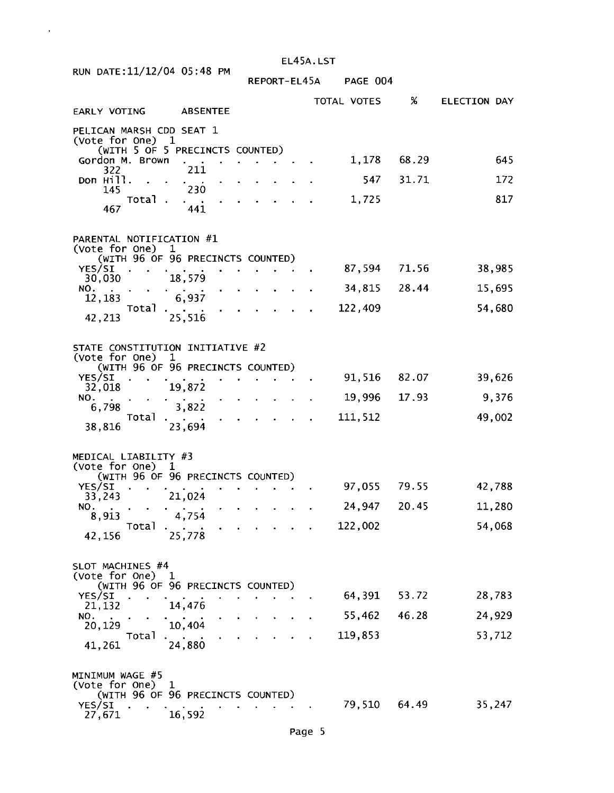|                                                    |                                                  | EL45A.LST    |          |             |       |                     |  |  |  |  |
|----------------------------------------------------|--------------------------------------------------|--------------|----------|-------------|-------|---------------------|--|--|--|--|
| RUN DATE: 11/12/04 05:48 PM                        |                                                  | REPORT-EL45A | PAGE 004 |             |       |                     |  |  |  |  |
| EARLY VOTING                                       | <b>ABSENTEE</b>                                  |              |          | TOTAL VOTES | %     | <b>ELECTION DAY</b> |  |  |  |  |
| PELICAN MARSH CDD SEAT 1<br>(Vote for One) 1       |                                                  |              |          |             |       |                     |  |  |  |  |
| Gordon M. Brown<br>322                             | (WITH 5 OF 5 PRECINCTS COUNTED)<br>211           |              |          | 1,178 68.29 |       | 645                 |  |  |  |  |
| Don Hill.<br>145                                   | 230                                              |              |          | 547         | 31.71 | 172                 |  |  |  |  |
| Total<br>467                                       | 441                                              |              |          | 1,725       |       | 817                 |  |  |  |  |
| PARENTAL NOTIFICATION #1<br>(Vote for One)         | $\mathbf 1$                                      |              |          |             |       |                     |  |  |  |  |
| YES/SI                                             | (WITH 96 OF 96 PRECINCTS COUNTED)                |              |          | 87,594      | 71.56 | 38,985              |  |  |  |  |
| 30,030<br>NO.                                      | 18,579                                           |              |          | 34,815      | 28.44 | 15,695              |  |  |  |  |
| 12,183<br>Total                                    | 6,937                                            |              |          | 122,409     |       | 54,680              |  |  |  |  |
| 42,213                                             | 25,516                                           |              |          |             |       |                     |  |  |  |  |
| STATE CONSTITUTION INITIATIVE #2<br>(Vote for One) | $\mathbf 1$<br>(WITH 96 OF 96 PRECINCTS COUNTED) |              |          |             |       |                     |  |  |  |  |
| YES/SI                                             |                                                  |              |          | 91,516      | 82.07 | 39,626              |  |  |  |  |
| 32,018<br>NO.<br>6,798                             | 19,872<br>3,822                                  |              |          | 19,996      | 17.93 | 9,376               |  |  |  |  |
| Total<br>38,816                                    | 23,694                                           |              |          | 111,512     |       | 49,002              |  |  |  |  |
|                                                    |                                                  |              |          |             |       |                     |  |  |  |  |
| MEDICAL LIABILITY #3<br>(Vote for One) 1           | (WITH 96 OF 96 PRECINCTS COUNTED)                |              |          |             |       |                     |  |  |  |  |
| YES/SI<br>33,243                                   | 21,024                                           |              |          | 97,055      | 79.55 | 42,788              |  |  |  |  |
| NO.<br>8,913                                       | 4,754                                            |              |          | 24,947      | 20.45 | 11,280              |  |  |  |  |
| Total<br>42,156                                    | 25,778                                           |              |          | 122,002     |       | 54,068              |  |  |  |  |
| SLOT MACHINES #4<br>(Vote for One) 1               |                                                  |              |          |             |       |                     |  |  |  |  |
| YES/SI                                             | (WITH 96 OF 96 PRECINCTS COUNTED)                |              |          | 64,391      | 53.72 | 28,783              |  |  |  |  |
| 21,132<br>NO.                                      | 14,476                                           |              |          | 55,462      | 46.28 | 24,929              |  |  |  |  |
| 20,129<br>Total                                    | 10,404                                           |              |          | 119,853     |       | 53,712              |  |  |  |  |
| 41,261                                             | 24,880                                           |              |          |             |       |                     |  |  |  |  |
| MINIMUM WAGE #5                                    |                                                  |              |          |             |       |                     |  |  |  |  |
| (Vote for One)<br>YES/SI                           | ı<br>(WITH 96 OF 96 PRECINCTS COUNTED)           |              |          | 79,510      | 64.49 | 35,247              |  |  |  |  |
| 27,671                                             | 16,592                                           |              |          |             |       |                     |  |  |  |  |

 $\mathcal{A}^{(1)}$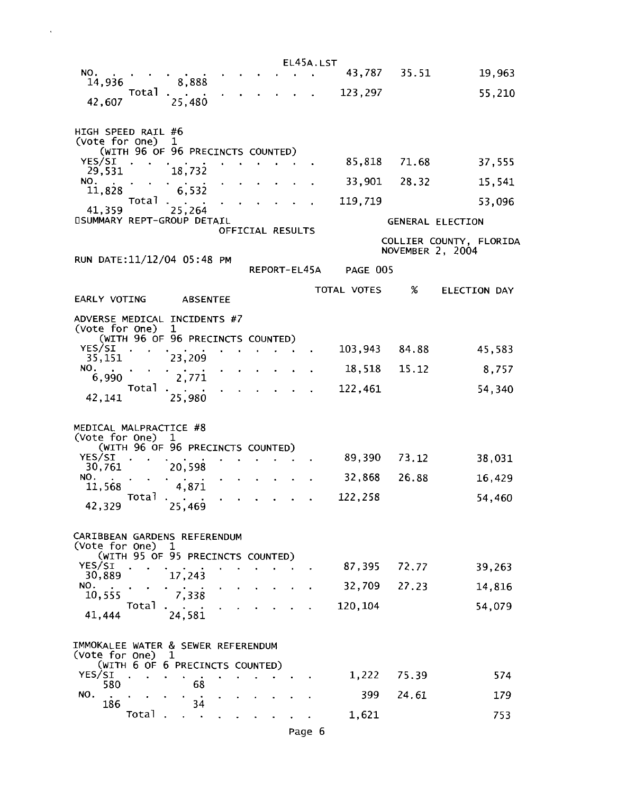|                                                                                         |                 |                  |  | EL45A.LST    |              |       |                         |
|-----------------------------------------------------------------------------------------|-----------------|------------------|--|--------------|--------------|-------|-------------------------|
| NO.<br>14,936                                                                           | 8,888           |                  |  |              | 43,787 35.51 |       | 19,963                  |
| Total<br>42,607                                                                         | 25,480          |                  |  |              | 123,297      |       | 55,210                  |
|                                                                                         |                 |                  |  |              |              |       |                         |
| HIGH SPEED RAIL #6                                                                      |                 |                  |  |              |              |       |                         |
| (Vote for One)<br>(WITH 96 OF 96 PRECINCTS COUNTED)                                     | $\mathbf{1}$    |                  |  |              |              |       |                         |
| YES/SI<br>29,531                                                                        | 18,732          |                  |  |              | 85,818       | 71.68 | 37,555                  |
| NO.<br>11,828                                                                           | 6,532           |                  |  |              | 33,901       | 28.32 | 15,541                  |
| Total                                                                                   |                 |                  |  |              | 119,719      |       | 53,096                  |
| 41,359<br><b><i>OSUMMARY REPT-GROUP DETAIL</i></b>                                      | 25,264          |                  |  |              |              |       | <b>GENERAL ELECTION</b> |
|                                                                                         |                 | OFFICIAL RESULTS |  |              |              |       | COLLIER COUNTY, FLORIDA |
| RUN DATE: 11/12/04 05:48 PM                                                             |                 |                  |  |              |              |       | NOVEMBER 2, 2004        |
|                                                                                         |                 |                  |  | REPORT-EL45A | PAGE 005     |       |                         |
| EARLY VOTING                                                                            |                 |                  |  |              | TOTAL VOTES  | %     | <b>ELECTION DAY</b>     |
|                                                                                         | <b>ABSENTEE</b> |                  |  |              |              |       |                         |
| ADVERSE MEDICAL INCIDENTS #7<br>(Vote for One)                                          | ı               |                  |  |              |              |       |                         |
| (WITH 96 OF 96 PRECINCTS COUNTED)<br>YES/SI                                             |                 |                  |  |              | 103,943      | 84.88 | 45,583                  |
| 35,151<br>NO.                                                                           | 23,209          |                  |  |              | 18,518       | 15.12 | 8,757                   |
| 6,990<br>Total                                                                          | 2,771           |                  |  |              |              |       |                         |
| 42,141                                                                                  | 25,980          |                  |  |              | 122,461      |       | 54,340                  |
| MEDICAL MALPRACTICE #8<br>(Vote for One)<br>(WITH 96 OF 96 PRECINCTS COUNTED)           | 1               |                  |  |              |              |       |                         |
| YES/SI                                                                                  | 20,598          |                  |  |              | 89,390       | 73.12 | 38,031                  |
| 30,761<br>NO.                                                                           |                 |                  |  |              | 32,868       | 26.88 | 16,429                  |
| 11,568                                                                                  | 4,871<br>Total  |                  |  |              | 122,258      |       | 54,460                  |
| 42,329                                                                                  | 25,469          |                  |  |              |              |       |                         |
| CARIBBEAN GARDENS REFERENDUM<br>(Vote for One)<br>(WITH 95 OF 95 PRECINCTS COUNTED)     | ı               |                  |  |              |              |       |                         |
| YES/SI<br>30,889                                                                        | 17,243          |                  |  |              | 87,395       | 72,77 | 39,263                  |
| NO.<br>10,555                                                                           | 7,338           |                  |  |              | 32,709       | 27.23 | 14,816                  |
| Totai                                                                                   |                 |                  |  |              | 120,104      |       | 54,079                  |
| 41,444                                                                                  | 24,581          |                  |  |              |              |       |                         |
| IMMOKALEE WATER & SEWER REFERENDUM<br>(Vote for One)<br>(WITH 6 OF 6 PRECINCTS COUNTED) | ı               |                  |  |              |              |       |                         |
| YES/SI                                                                                  |                 |                  |  |              | 1,222        | 75.39 | 574                     |
| 580<br>NO.                                                                              | 68              |                  |  |              | 399          | 24.61 | 179                     |
| 186<br>Total                                                                            | 34              |                  |  |              | 1,621        |       | 753                     |

 $\sim$ 

Page 6